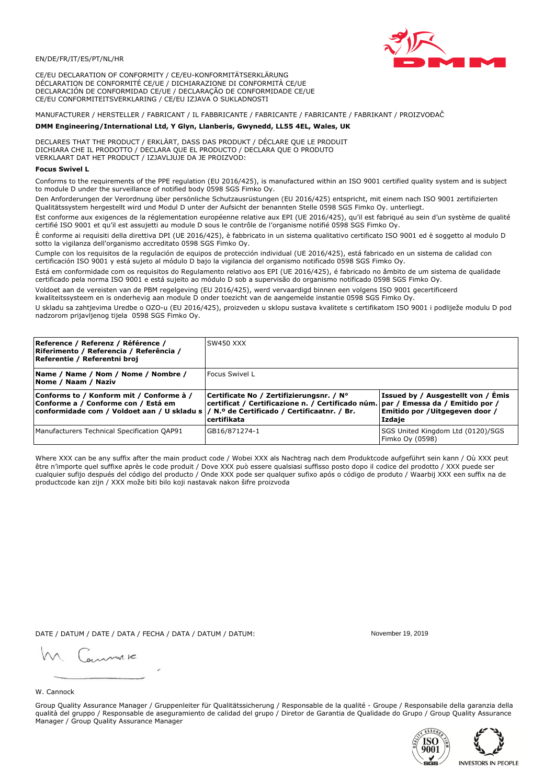

CE/EU DECLARATION OF CONFORMITY / CE/EU-KONFORMITÄTSERKLÄRUNG DÉCLARATION DE CONFORMITÉ CE/UE / DICHIARAZIONE DI CONFORMITÀ CE/UE DECLARACIÓN DE CONFORMIDAD CE/UE / DECLARAÇÃO DE CONFORMIDADE CE/UE CE/EU CONFORMITEITSVERKLARING / CE/EU IZJAVA O SUKLADNOSTI

# MANUFACTURER / HERSTELLER / FABRICANT / IL FABBRICANTE / FABRICANTE / FABRICANTE / FABRIKANT / PROIZVOĐAČ

## DMM Engineering/International Ltd, Y Glyn, Llanberis, Gwynedd, LL55 4EL, Wales, UK

DECLARES THAT THE PRODUCT / ERKLÄRT, DASS DAS PRODUKT / DÉCLARE QUE LE PRODUIT<br>DICHIARA CHE IL PRODOTTO / DECLARA QUE EL PRODUCTO / DECLARA QUE O PRODUTO VERKLAART DAT HET PRODUCT / IZJAVLJUJE DA JE PROIZVOD:

### **Focus Swivel L**

Conforms to the requirements of the PPE regulation (EU 2016/425), is manufactured within an ISO 9001 certified quality system and is subject to module D under the surveillance of notified body 0598 SGS Fimko Oy.

Den Anforderungen der Verordnung über persönliche Schutzausrüstungen (EU 2016/425) entspricht, mit einem nach ISO 9001 zertifizierten Qualitätssystem hergestellt wird und Modul D unter der Aufsicht der benannten Stelle 0598 SGS Fimko Oy. unterliegt.

Est conforme aux exigences de la réglementation européenne relative aux EPI (UE 2016/425), qu'il est fabriqué au sein d'un système de qualité certifié ISO 9001 et qu'il est assujetti au module D sous le contrôle de l'organisme notifié 0598 SGS Fimko Oy.

È conforme ai requisiti della direttiva DPI (UE 2016/425), è fabbricato in un sistema qualitativo certificato ISO 9001 ed è soggetto al modulo D sotto la vigilanza dell'organismo accreditato 0598 SGS Fimko Oy.

Cumple con los requisitos de la regulación de equipos de protección individual (UE 2016/425), está fabricado en un sistema de calidad con certificación ISO 9001 y está sujeto al módulo D bajo la vigilancia del organismo notificado 0598 SGS Fimko Oy.

Está em conformidade com os requisitos do Regulamento relativo aos EPI (UE 2016/425), é fabricado no âmbito de um sistema de qualidade certificado pela norma ISO 9001 e está sujeito ao módulo D sob a supervisão do organismo notificado 0598 SGS Fimko Oy.

Voldoet aan de vereisten van de PBM regelgeving (EU 2016/425), werd vervaardigd binnen een volgens ISO 9001 gecertificeerd kwaliteitssysteem en is onderhevig aan module D onder toezicht van de aangemelde instantie 0598 SGS Fimko Oy.

U skladu sa zahtjevima Uredbe o OZO-u (EU 2016/425), proizveden u sklopu sustava kvalitete s certifikatom ISO 9001 i podliježe modulu D pod nadzorom prijavljenog tijela 0598 SGS Fimko Oy.

| Reference / Referenz / Référence /<br>Riferimento / Referencia / Referência /<br>Referentie / Referentni broj                                                              | SW450 XXX                                                                                                                                          |                                                                                       |
|----------------------------------------------------------------------------------------------------------------------------------------------------------------------------|----------------------------------------------------------------------------------------------------------------------------------------------------|---------------------------------------------------------------------------------------|
| Name / Name / Nom / Nome / Nombre /<br>Nome / Naam / Naziv                                                                                                                 | Focus Swivel L                                                                                                                                     |                                                                                       |
| Conforms to / Konform mit / Conforme à /<br>Conforme a / Conforme con / Está em<br>conformidade com / Voldoet aan / U skladu s / N.º de Certificado / Certificaatnr. / Br. | Certificate No / Zertifizierungsnr. / N°<br>  certificat / Certificazione n. / Certificado núm.   par / Emessa da / Emitido por /<br>l certifikata | <b>Issued by / Ausgestellt von / Emis</b><br>Emitido por /Uitgegeven door /<br>Izdaje |
| Manufacturers Technical Specification QAP91                                                                                                                                | GB16/871274-1                                                                                                                                      | SGS United Kingdom Ltd (0120)/SGS<br>Fimko Oy (0598)                                  |

Where XXX can be any suffix after the main product code / Wobei XXX als Nachtrag nach dem Produktcode aufgeführt sein kann / Où XXX peut être n'importe quel suffixe après le code produit / Dove XXX può essere qualsiasi suffisso posto dopo il codice del prodotto / XXX puede ser cualquier sufijo después del código del producto / Onde XXX pode ser qualquer sufixo após o código de produto / Waarbij XXX een suffix na de productcode kan zijn / XXX može biti bilo koji nastavak nakon šifre proizvoda

DATE / DATUM / DATE / DATA / FECHA / DATA / DATUM / DATUM:

gimmic

November 19 2019



Group Quality Assurance Manager / Gruppenleiter für Qualitätssicherung / Responsable de la qualité - Groupe / Responsabile della garanzia della qualità del gruppo / Responsable de aseguramiento de calidad del grupo / Diretor de Garantia de Qualidade do Grupo / Group Quality Assurance Manager / Group Quality Assurance Manager



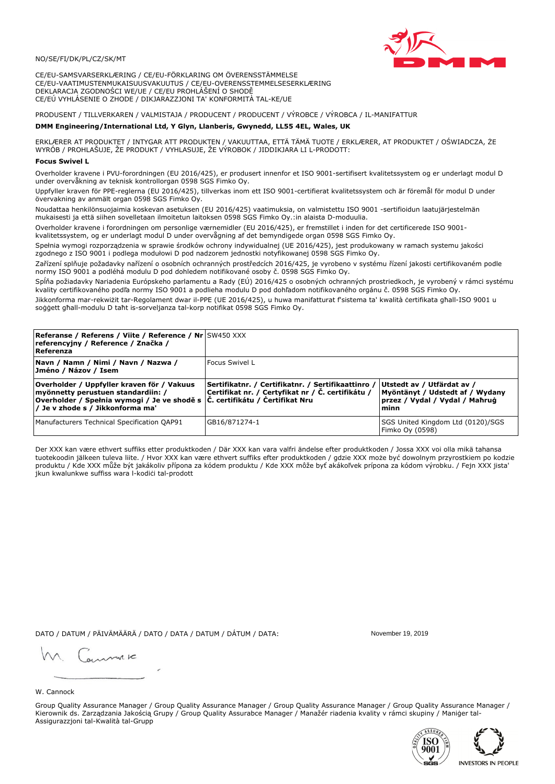

CE/EU-SAMSVARSERKLÆRING / CE/EU-FÖRKLARING OM ÖVERENSSTÄMMELSE CE/EU-VAATIMUSTENMUKAISUUSVAKUUTUS / CE/EU-OVERENSSTEMMELSESERKLÆRING DEKLARACJA ZGODNOŚCI WE/UE / CE/EU PROHLÁŠENÍ O SHODĚ CE/EÚ VYHLÁSENIE O ZHODE / DIKJARAZZJONI TA' KONFORMITÀ TAL-KE/UE

# PRODUSENT / TILLVERKAREN / VALMISTAJA / PRODUCENT / PRODUCENT / VÝROBCE / VÝROBCA / IL-MANIFATTUR

### DMM Engineering/International Ltd, Y Glyn, Llanberis, Gwynedd, LL55 4EL, Wales, UK

ERKLÆRER AT PRODUKTET / INTYGAR ATT PRODUKTEN / VAKUUTTAA, ETTÄ TÄMÄ TUOTE / ERKLÆRER, AT PRODUKTET / OŚWIADCZA, ŻE<br>WYRÓB / PROHLAŠUJE, ŽE PRODUKT / VYHLASUJE, ŽE VÝROBOK / JIDDIKJARA LI L-PRODOTT:

Overholder kravene i PVU-forordningen (EU 2016/425), er produsert innenfor et ISO 9001-sertifisert kvalitetssystem og er underlagt modul D under overvåkning av teknisk kontrollorgan 0598 SGS Fimko Oy.

Uppfyller kraven för PPE-reglerna (EU 2016/425), tillverkas inom ett ISO 9001-certifierat kvalitetssystem och är föremål för modul D under övervakning av anmält organ 0598 SGS Fimko Oy.

Noudattaa henkilönsuojaimia koskevan asetuksen (EU 2016/425) vaatimuksia, on valmistettu ISO 9001 -sertifioidun laatujärjestelmän mukaisesti ja että siihen sovelletaan ilmoitetun laitoksen 0598 SGS Fimko Oy.:in alaista D-moduulia.

Overholder kravene i forordningen om personlige værnemidler (EU 2016/425), er fremstillet i inden for det certificerede ISO 9001kvalitetssystem, og er underlagt modul D under overvågning af det bemyndigede organ 0598 SGS Fimko Oy.

Spełnia wymogi rozporządzenia w sprawie środków ochrony indywidualnej (UE 2016/425), jest produkowany w ramach systemu jakości zgodnego z ISO 9001 i podlega modułowi D pod nadzorem jednostki notyfikowanej 0598 SGS Fimko Oy.

Zařízení splňuje požadavky nařízení o osobních ochranných prostředcích 2016/425, je vyrobeno v systému řízení jakosti certifikovaném podle normy ISO 9001 a podléhá modulu D pod dohledem notifikované osoby č. 0598 SGS Fimko Oy.

Spĺňa požiadavky Nariadenia Európskeho parlamentu a Rady (EÚ) 2016/425 o osobných ochranných prostriedkoch, je vyrobený v rámci systému kvality certifikovaného podľa normy ISO 9001 a podlieha modulu D pod dohľadom notifikovaného orgánu č. 0598 SGS Fimko Oy.

Jikkonforma mar-rekwiżit tar-Regolament dwar il-PPE (UE 2016/425), u huwa manifatturat f'sistema ta' kwalità certifikata għall-ISO 9001 u soggett għall-modulu D taħt is-sorveljanza tal-korp notifikat 0598 SGS Fimko Oy.

| <b>Referanse / Referens / Viite / Reference / Nr</b> SW450 XXX<br>referencyjny / Reference / Značka /<br>Referenza                                                                                          |                                                                                                         |                                                                                                         |
|-------------------------------------------------------------------------------------------------------------------------------------------------------------------------------------------------------------|---------------------------------------------------------------------------------------------------------|---------------------------------------------------------------------------------------------------------|
| Navn / Namn / Nimi / Navn / Nazwa /<br>Jméno / Názov / Isem                                                                                                                                                 | Focus Swivel L                                                                                          |                                                                                                         |
| Overholder / Uppfyller kraven för / Vakuus<br>myönnetty perustuen standardiin: /<br>Overholder / Spełnia wymogi / Je ve shodě s $\vert$ Č. certifikátu / Čertifikat Nru<br>/ Je v zhode s / Jikkonforma ma' | Sertifikatnr. / Certifikatnr. / Sertifikaattinro /<br>Certifikat nr. / Certyfikat nr / Č. certifikátu / | Utstedt av / Utfärdat av /<br>Myöntänyt / Udstedt af / Wydany<br>przez / Vydal / Vydal / Mahrug<br>minn |
| Manufacturers Technical Specification QAP91                                                                                                                                                                 | GB16/871274-1                                                                                           | SGS United Kingdom Ltd (0120)/SGS<br>Fimko Oy (0598)                                                    |

Der XXX kan være ethvert suffiks etter produktkoden / Där XXX kan vara valfri ändelse efter produktkoden / Jossa XXX voi olla mikä tahansa tuotekoodin jälkeen tuleva liite. / Hvor XXX kan være ethvert suffiks efter produktkoden / gdzie XXX może być dowolnym przyrostkiem po kodzie produktu / Kde XXX může být jakákoliv přípona za kódem produktu / Kde XXX môže byť akákolyek prípona za kódom výrobku. / Fejn XXX jista ikun kwalunkwe suffiss wara l-kodići tal-prodott

DATO / DATUM / PÄIVÄMÄÄRÄ / DATO / DATA / DATUM / DÁTUM / DATA:

November 19 2019

annuic

W. Cannock

Group Quality Assurance Manager / Group Quality Assurance Manager / Group Quality Assurance Manager / Group Quality Assurance Manager / Kierownik ds. Zarządzania Jakością Grupy / Group Quality Assurabce Manager / Manažér riadenia kvality v rámci skupiny / Maniger tal-Assigurazzjoni tal-Kwalità tal-Grupp